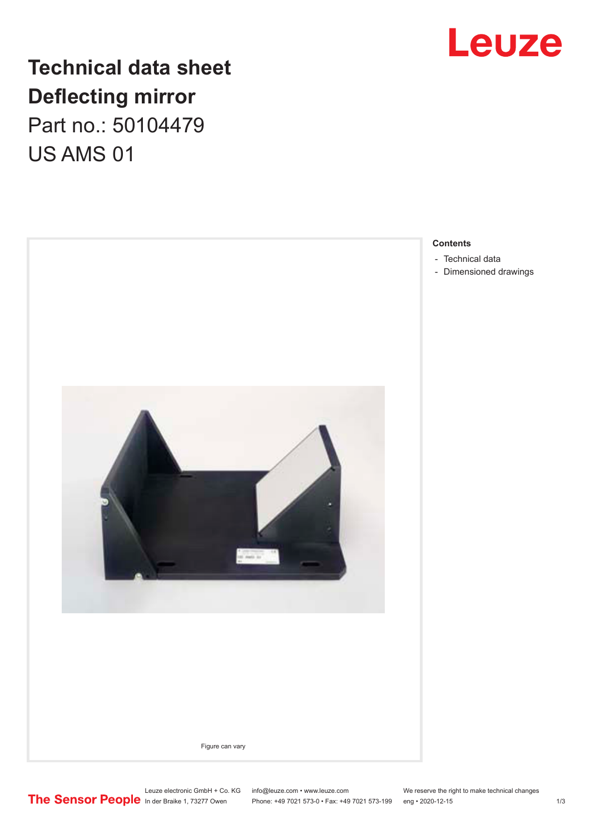

## **Technical data sheet Deflecting mirror**

Part no.: 50104479 US AMS 01



Leuze electronic GmbH + Co. KG info@leuze.com • www.leuze.com We reserve the right to make technical changes<br>
The Sensor People in der Braike 1, 73277 Owen Phone: +49 7021 573-0 • Fax: +49 7021 573-199 eng • 2020-12-15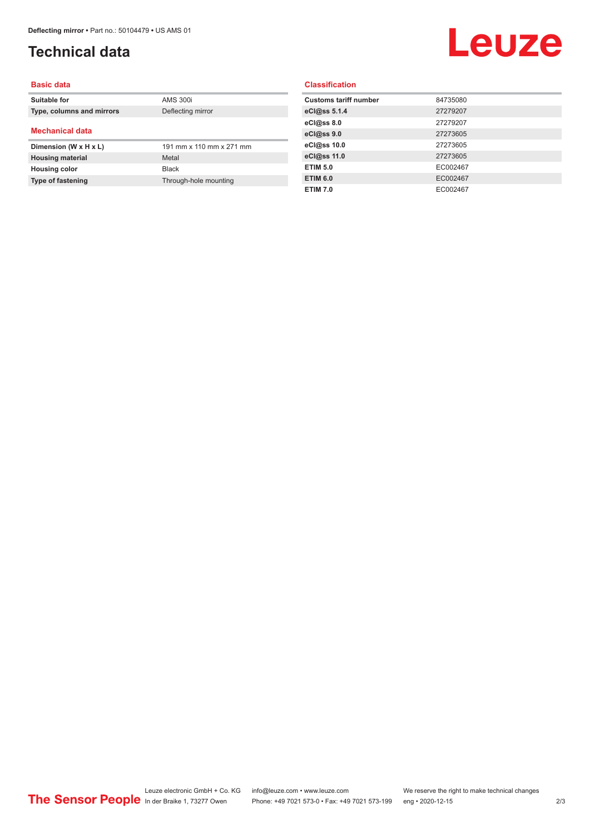### <span id="page-1-0"></span>**Technical data**

# Leuze

#### **Basic data**

| Suitable for              | <b>AMS 300i</b>          |
|---------------------------|--------------------------|
| Type, columns and mirrors | Deflecting mirror        |
|                           |                          |
| <b>Mechanical data</b>    |                          |
|                           |                          |
| Dimension (W x H x L)     | 191 mm x 110 mm x 271 mm |
| <b>Housing material</b>   | Metal                    |
| <b>Housing color</b>      | <b>Black</b>             |

#### **Classification**

| <b>Customs tariff number</b><br>84735080<br>27279207<br>27279207<br>27273605<br>27273605<br>27273605<br><b>ETIM 5.0</b><br>EC002467<br><b>ETIM 6.0</b><br>EC002467<br>EC002467<br><b>ETIM 7.0</b> |              |  |
|---------------------------------------------------------------------------------------------------------------------------------------------------------------------------------------------------|--------------|--|
|                                                                                                                                                                                                   |              |  |
|                                                                                                                                                                                                   | eCl@ss 5.1.4 |  |
|                                                                                                                                                                                                   | eCl@ss 8.0   |  |
|                                                                                                                                                                                                   | eCl@ss 9.0   |  |
|                                                                                                                                                                                                   | eCl@ss 10.0  |  |
|                                                                                                                                                                                                   | eCl@ss 11.0  |  |
|                                                                                                                                                                                                   |              |  |
|                                                                                                                                                                                                   |              |  |
|                                                                                                                                                                                                   |              |  |